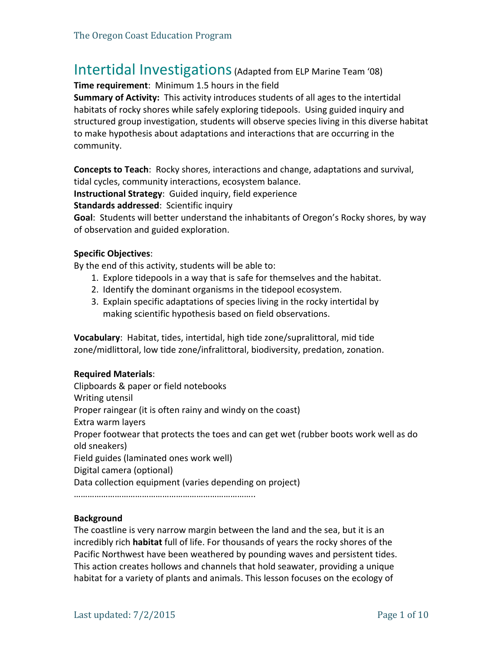# Intertidal Investigations (Adapted from ELP Marine Team '08)

**Time requirement:** Minimum 1.5 hours in the field

**Summary of Activity:** This activity introduces students of all ages to the intertidal habitats of rocky shores while safely exploring tidepools. Using guided inquiry and structured group investigation, students will observe species living in this diverse habitat to make hypothesis about adaptations and interactions that are occurring in the community.

**Concepts to Teach**: Rocky shores, interactions and change, adaptations and survival, tidal cycles, community interactions, ecosystem balance.

**Instructional Strategy: Guided inquiry, field experience** 

**Standards addressed:** Scientific inquiry

**Goal:** Students will better understand the inhabitants of Oregon's Rocky shores, by way of observation and guided exploration.

#### **Specific Objectives**:

By the end of this activity, students will be able to:

- 1. Explore tidepools in a way that is safe for themselves and the habitat.
- 2. Identify the dominant organisms in the tidepool ecosystem.
- 3. Explain specific adaptations of species living in the rocky intertidal by making scientific hypothesis based on field observations.

Vocabulary: Habitat, tides, intertidal, high tide zone/supralittoral, mid tide zone/midlittoral, low tide zone/infralittoral, biodiversity, predation, zonation.

#### **Required Materials**:

Clipboards & paper or field notebooks Writing utensil Proper raingear (it is often rainy and windy on the coast) Extra warm layers Proper footwear that protects the toes and can get wet (rubber boots work well as do old sneakers) Field guides (laminated ones work well) Digital camera (optional) Data collection equipment (varies depending on project)

……………………………………………………………………..

#### **Background**

The coastline is very narrow margin between the land and the sea, but it is an incredibly rich **habitat** full of life. For thousands of years the rocky shores of the Pacific Northwest have been weathered by pounding waves and persistent tides. This action creates hollows and channels that hold seawater, providing a unique habitat for a variety of plants and animals. This lesson focuses on the ecology of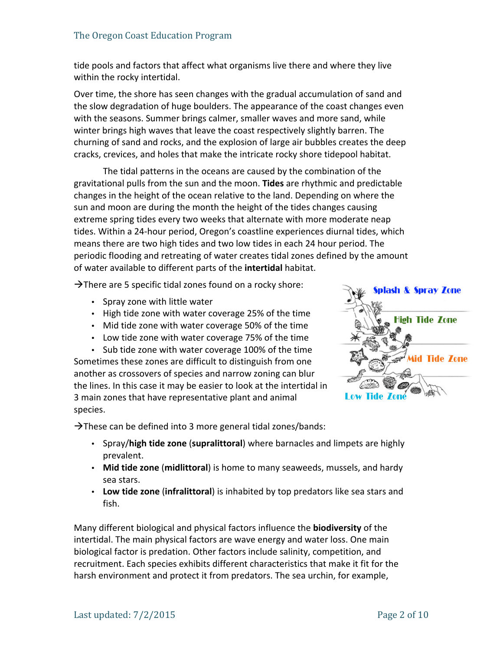tide pools and factors that affect what organisms live there and where they live within the rocky intertidal.

Over time, the shore has seen changes with the gradual accumulation of sand and the slow degradation of huge boulders. The appearance of the coast changes even with the seasons. Summer brings calmer, smaller waves and more sand, while winter brings high waves that leave the coast respectively slightly barren. The churning of sand and rocks, and the explosion of large air bubbles creates the deep cracks, crevices, and holes that make the intricate rocky shore tidepool habitat.

The tidal patterns in the oceans are caused by the combination of the gravitational pulls from the sun and the moon. Tides are rhythmic and predictable changes in the height of the ocean relative to the land. Depending on where the sun and moon are during the month the height of the tides changes causing extreme spring tides every two weeks that alternate with more moderate neap tides. Within a 24-hour period, Oregon's coastline experiences diurnal tides, which means there are two high tides and two low tides in each 24 hour period. The periodic flooding and retreating of water creates tidal zones defined by the amount of water available to different parts of the *intertidal* habitat.

 $\rightarrow$ There are 5 specific tidal zones found on a rocky shore:

- Spray zone with little water
- High tide zone with water coverage 25% of the time
- Mid tide zone with water coverage 50% of the time
- Low tide zone with water coverage 75% of the time
- Sub tide zone with water coverage 100% of the time

Sometimes these zones are difficult to distinguish from one another as crossovers of species and narrow zoning can blur the lines. In this case it may be easier to look at the intertidal in 3 main zones that have representative plant and animal species. 

 $\rightarrow$ These can be defined into 3 more general tidal zones/bands:

- Spray/high tide zone (supralittoral) where barnacles and limpets are highly prevalent.
- Mid tide zone (midlittoral) is home to many seaweeds, mussels, and hardy sea stars.
- Low tide zone (infralittoral) is inhabited by top predators like sea stars and fish.

Many different biological and physical factors influence the **biodiversity** of the intertidal. The main physical factors are wave energy and water loss. One main biological factor is predation. Other factors include salinity, competition, and recruitment. Each species exhibits different characteristics that make it fit for the harsh environment and protect it from predators. The sea urchin, for example,

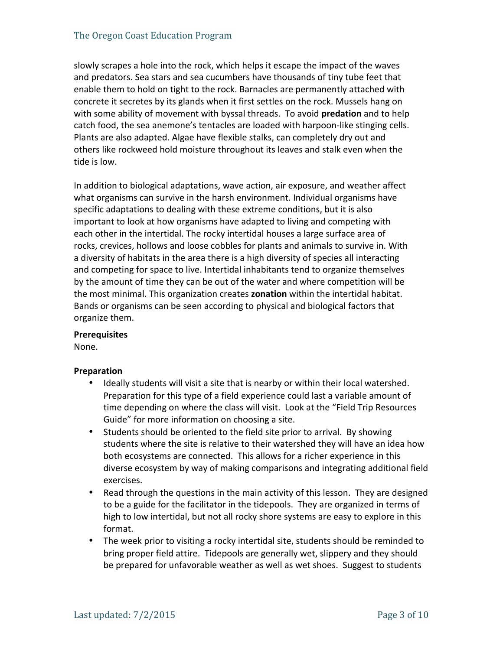slowly scrapes a hole into the rock, which helps it escape the impact of the waves and predators. Sea stars and sea cucumbers have thousands of tiny tube feet that enable them to hold on tight to the rock. Barnacles are permanently attached with concrete it secretes by its glands when it first settles on the rock. Mussels hang on with some ability of movement with byssal threads. To avoid **predation** and to help catch food, the sea anemone's tentacles are loaded with harpoon-like stinging cells. Plants are also adapted. Algae have flexible stalks, can completely dry out and others like rockweed hold moisture throughout its leaves and stalk even when the tide is low.

In addition to biological adaptations, wave action, air exposure, and weather affect what organisms can survive in the harsh environment. Individual organisms have specific adaptations to dealing with these extreme conditions, but it is also important to look at how organisms have adapted to living and competing with each other in the intertidal. The rocky intertidal houses a large surface area of rocks, crevices, hollows and loose cobbles for plants and animals to survive in. With a diversity of habitats in the area there is a high diversity of species all interacting and competing for space to live. Intertidal inhabitants tend to organize themselves by the amount of time they can be out of the water and where competition will be the most minimal. This organization creates **zonation** within the intertidal habitat. Bands or organisms can be seen according to physical and biological factors that organize them. 

#### **Prerequisites**

None. 

#### **Preparation**

- Ideally students will visit a site that is nearby or within their local watershed. Preparation for this type of a field experience could last a variable amount of time depending on where the class will visit. Look at the "Field Trip Resources" Guide" for more information on choosing a site.
- Students should be oriented to the field site prior to arrival. By showing students where the site is relative to their watershed they will have an idea how both ecosystems are connected. This allows for a richer experience in this diverse ecosystem by way of making comparisons and integrating additional field exercises.
- Read through the questions in the main activity of this lesson. They are designed to be a guide for the facilitator in the tidepools. They are organized in terms of high to low intertidal, but not all rocky shore systems are easy to explore in this format.
- The week prior to visiting a rocky intertidal site, students should be reminded to bring proper field attire. Tidepools are generally wet, slippery and they should be prepared for unfavorable weather as well as wet shoes. Suggest to students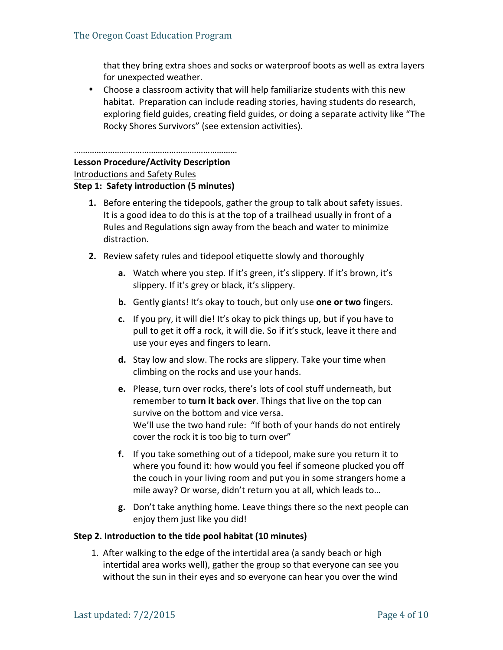that they bring extra shoes and socks or waterproof boots as well as extra layers for unexpected weather.

• Choose a classroom activity that will help familiarize students with this new habitat. Preparation can include reading stories, having students do research, exploring field guides, creating field guides, or doing a separate activity like "The Rocky Shores Survivors" (see extension activities).

#### ………………………………………………………………

## **Lesson Procedure/Activity Description**

Introductions and Safety Rules

#### **Step 1: Safety introduction (5 minutes)**

- **1.** Before entering the tidepools, gather the group to talk about safety issues. It is a good idea to do this is at the top of a trailhead usually in front of a Rules and Regulations sign away from the beach and water to minimize distraction.
- **2.** Review safety rules and tidepool etiquette slowly and thoroughly
	- **a.** Watch where you step. If it's green, it's slippery. If it's brown, it's slippery. If it's grey or black, it's slippery.
	- **b.** Gently giants! It's okay to touch, but only use one or two fingers.
	- **c.** If you pry, it will die! It's okay to pick things up, but if you have to pull to get it off a rock, it will die. So if it's stuck, leave it there and use your eyes and fingers to learn.
	- **d.** Stay low and slow. The rocks are slippery. Take your time when climbing on the rocks and use your hands.
	- **e.** Please, turn over rocks, there's lots of cool stuff underneath, but remember to **turn it back over**. Things that live on the top can survive on the bottom and vice versa. We'll use the two hand rule: "If both of your hands do not entirely cover the rock it is too big to turn over"
	- **f.** If you take something out of a tidepool, make sure you return it to where you found it: how would you feel if someone plucked you off the couch in your living room and put you in some strangers home a mile away? Or worse, didn't return you at all, which leads to...
	- **g.** Don't take anything home. Leave things there so the next people can enjoy them just like you did!

#### **Step 2. Introduction to the tide pool habitat (10 minutes)**

1. After walking to the edge of the intertidal area (a sandy beach or high intertidal area works well), gather the group so that everyone can see you without the sun in their eyes and so everyone can hear you over the wind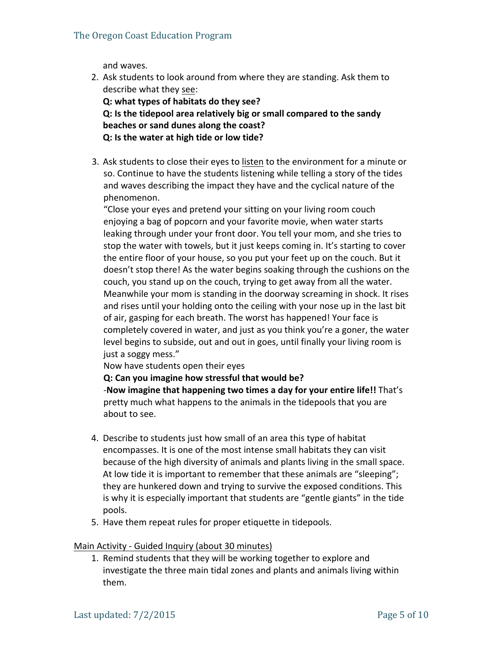and waves.

2. Ask students to look around from where they are standing. Ask them to describe what they see:

**Q: what types of habitats do they see? Q:** Is the tidepool area relatively big or small compared to the sandy **beaches or sand dunes along the coast? Q:** Is the water at high tide or low tide?

3. Ask students to close their eyes to listen to the environment for a minute or so. Continue to have the students listening while telling a story of the tides and waves describing the impact they have and the cyclical nature of the phenomenon. 

"Close your eyes and pretend your sitting on your living room couch enjoying a bag of popcorn and your favorite movie, when water starts leaking through under your front door. You tell your mom, and she tries to stop the water with towels, but it just keeps coming in. It's starting to cover the entire floor of your house, so you put your feet up on the couch. But it doesn't stop there! As the water begins soaking through the cushions on the couch, you stand up on the couch, trying to get away from all the water. Meanwhile your mom is standing in the doorway screaming in shock. It rises and rises until your holding onto the ceiling with your nose up in the last bit of air, gasping for each breath. The worst has happened! Your face is completely covered in water, and just as you think you're a goner, the water level begins to subside, out and out in goes, until finally your living room is just a soggy mess."

Now have students open their eyes

**Q:** Can you imagine how stressful that would be?

-**Now imagine that happening two times a day for your entire life!!** That's pretty much what happens to the animals in the tidepools that you are about to see.

- 4. Describe to students just how small of an area this type of habitat encompasses. It is one of the most intense small habitats they can visit because of the high diversity of animals and plants living in the small space. At low tide it is important to remember that these animals are "sleeping"; they are hunkered down and trying to survive the exposed conditions. This is why it is especially important that students are "gentle giants" in the tide pools.
- 5. Have them repeat rules for proper etiquette in tidepools.

#### Main Activity - Guided Inquiry (about 30 minutes)

1. Remind students that they will be working together to explore and investigate the three main tidal zones and plants and animals living within them.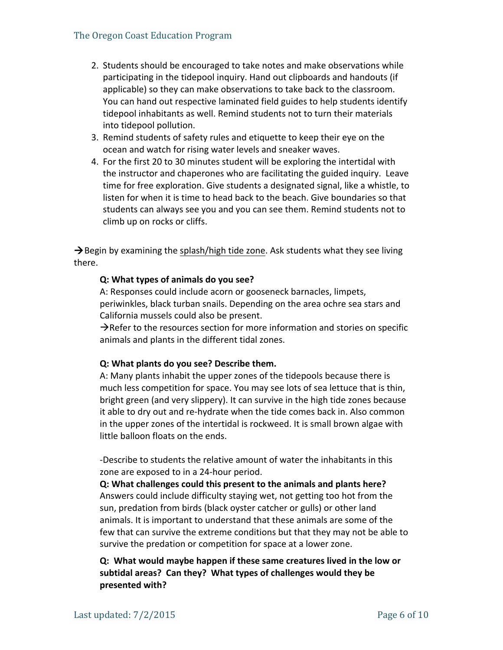- 2. Students should be encouraged to take notes and make observations while participating in the tidepool inquiry. Hand out clipboards and handouts (if applicable) so they can make observations to take back to the classroom. You can hand out respective laminated field guides to help students identify tidepool inhabitants as well. Remind students not to turn their materials into tidepool pollution.
- 3. Remind students of safety rules and etiquette to keep their eye on the ocean and watch for rising water levels and sneaker waves.
- 4. For the first 20 to 30 minutes student will be exploring the intertidal with the instructor and chaperones who are facilitating the guided inquiry. Leave time for free exploration. Give students a designated signal, like a whistle, to listen for when it is time to head back to the beach. Give boundaries so that students can always see you and you can see them. Remind students not to climb up on rocks or cliffs.

 $\rightarrow$  Begin by examining the splash/high tide zone. Ask students what they see living there.

### **Q: What types of animals do you see?**

A: Responses could include acorn or gooseneck barnacles, limpets, periwinkles, black turban snails. Depending on the area ochre sea stars and California mussels could also be present.

 $\rightarrow$ Refer to the resources section for more information and stories on specific animals and plants in the different tidal zones.

#### **Q: What plants do you see? Describe them.**

A: Many plants inhabit the upper zones of the tidepools because there is much less competition for space. You may see lots of sea lettuce that is thin, bright green (and very slippery). It can survive in the high tide zones because it able to dry out and re-hydrate when the tide comes back in. Also common in the upper zones of the intertidal is rockweed. It is small brown algae with little balloon floats on the ends.

-Describe to students the relative amount of water the inhabitants in this zone are exposed to in a 24-hour period.

**Q:** What challenges could this present to the animals and plants here? Answers could include difficulty staying wet, not getting too hot from the sun, predation from birds (black oyster catcher or gulls) or other land animals. It is important to understand that these animals are some of the few that can survive the extreme conditions but that they may not be able to survive the predation or competition for space at a lower zone.

**Q: What would maybe happen if these same creatures lived in the low or**  subtidal areas? Can they? What types of challenges would they be **presented with?**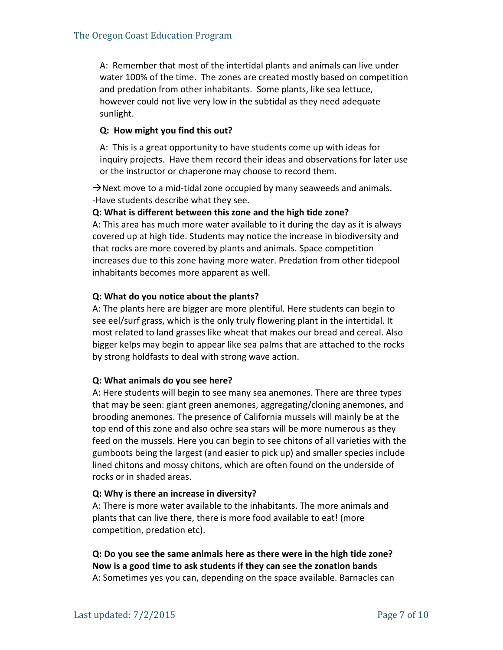A: Remember that most of the intertidal plants and animals can live under water 100% of the time. The zones are created mostly based on competition and predation from other inhabitants. Some plants, like sea lettuce, however could not live very low in the subtidal as they need adequate sunlight. 

## **Q:** How might you find this out?

A: This is a great opportunity to have students come up with ideas for inquiry projects. Have them record their ideas and observations for later use or the instructor or chaperone may choose to record them.

 $\rightarrow$ Next move to a mid-tidal zone occupied by many seaweeds and animals. -Have students describe what they see.

#### **Q:** What is different between this zone and the high tide zone?

A: This area has much more water available to it during the day as it is always covered up at high tide. Students may notice the increase in biodiversity and that rocks are more covered by plants and animals. Space competition increases due to this zone having more water. Predation from other tidepool inhabitants becomes more apparent as well.

#### **Q:** What do you notice about the plants?

A: The plants here are bigger are more plentiful. Here students can begin to see eel/surf grass, which is the only truly flowering plant in the intertidal. It most related to land grasses like wheat that makes our bread and cereal. Also bigger kelps may begin to appear like sea palms that are attached to the rocks by strong holdfasts to deal with strong wave action.

#### **Q: What animals do you see here?**

A: Here students will begin to see many sea anemones. There are three types that may be seen: giant green anemones, aggregating/cloning anemones, and brooding anemones. The presence of California mussels will mainly be at the top end of this zone and also ochre sea stars will be more numerous as they feed on the mussels. Here you can begin to see chitons of all varieties with the gumboots being the largest (and easier to pick up) and smaller species include lined chitons and mossy chitons, which are often found on the underside of rocks or in shaded areas.

## **Q:** Why is there an increase in diversity?

A: There is more water available to the inhabitants. The more animals and plants that can live there, there is more food available to eat! (more competition, predation etc).

## **Q:** Do you see the same animals here as there were in the high tide zone? Now is a good time to ask students if they can see the zonation bands

A: Sometimes yes you can, depending on the space available. Barnacles can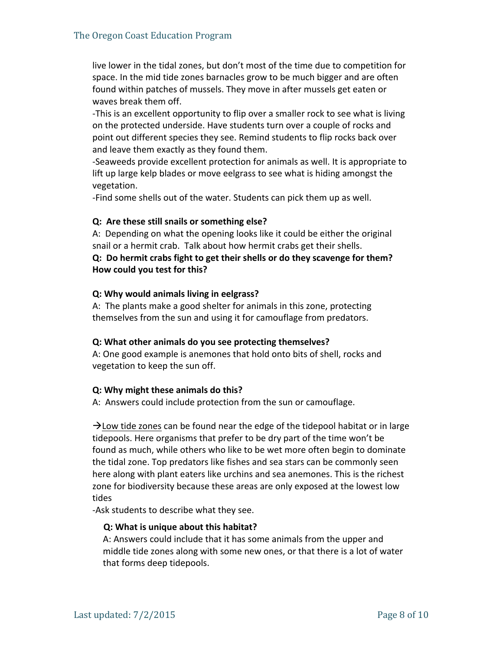live lower in the tidal zones, but don't most of the time due to competition for space. In the mid tide zones barnacles grow to be much bigger and are often found within patches of mussels. They move in after mussels get eaten or waves break them off.

-This is an excellent opportunity to flip over a smaller rock to see what is living on the protected underside. Have students turn over a couple of rocks and point out different species they see. Remind students to flip rocks back over and leave them exactly as they found them.

-Seaweeds provide excellent protection for animals as well. It is appropriate to lift up large kelp blades or move eelgrass to see what is hiding amongst the vegetation.

-Find some shells out of the water. Students can pick them up as well.

#### **Q:** Are these still snails or something else?

A: Depending on what the opening looks like it could be either the original snail or a hermit crab. Talk about how hermit crabs get their shells.

## **Q:** Do hermit crabs fight to get their shells or do they scavenge for them? **How could you test for this?**

#### **Q: Why would animals living in eelgrass?**

A: The plants make a good shelter for animals in this zone, protecting themselves from the sun and using it for camouflage from predators.

#### **Q:** What other animals do you see protecting themselves?

A: One good example is anemones that hold onto bits of shell, rocks and vegetation to keep the sun off.

#### **Q:** Why might these animals do this?

A: Answers could include protection from the sun or camouflage.

 $\rightarrow$  Low tide zones can be found near the edge of the tidepool habitat or in large tidepools. Here organisms that prefer to be dry part of the time won't be found as much, while others who like to be wet more often begin to dominate the tidal zone. Top predators like fishes and sea stars can be commonly seen here along with plant eaters like urchins and sea anemones. This is the richest zone for biodiversity because these areas are only exposed at the lowest low tides

-Ask students to describe what they see.

#### **Q:** What is unique about this habitat?

A: Answers could include that it has some animals from the upper and middle tide zones along with some new ones, or that there is a lot of water that forms deep tidepools.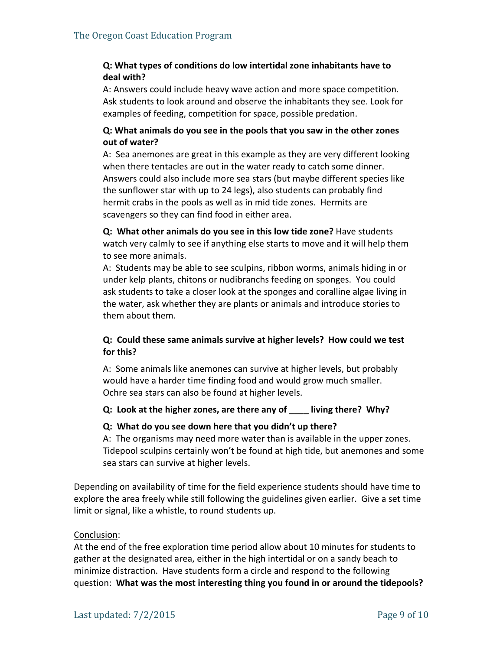## **Q: What types of conditions do low intertidal zone inhabitants have to deal with?**

A: Answers could include heavy wave action and more space competition. Ask students to look around and observe the inhabitants they see. Look for examples of feeding, competition for space, possible predation.

## **Q:** What animals do you see in the pools that you saw in the other zones **out of water?**

A: Sea anemones are great in this example as they are very different looking when there tentacles are out in the water ready to catch some dinner. Answers could also include more sea stars (but maybe different species like the sunflower star with up to 24 legs), also students can probably find hermit crabs in the pools as well as in mid tide zones. Hermits are scavengers so they can find food in either area.

**Q:** What other animals do you see in this low tide zone? Have students watch very calmly to see if anything else starts to move and it will help them to see more animals.

A: Students may be able to see sculpins, ribbon worms, animals hiding in or under kelp plants, chitons or nudibranchs feeding on sponges. You could ask students to take a closer look at the sponges and coralline algae living in the water, ask whether they are plants or animals and introduce stories to them about them.

## **Q:** Could these same animals survive at higher levels? How could we test **for this?**

A: Some animals like anemones can survive at higher levels, but probably would have a harder time finding food and would grow much smaller. Ochre sea stars can also be found at higher levels.

#### **Q:** Look at the higher zones, are there any of \_\_\_\_ living there? Why?

#### **Q: What do you see down here that you didn't up there?**

A: The organisms may need more water than is available in the upper zones. Tidepool sculpins certainly won't be found at high tide, but anemones and some sea stars can survive at higher levels.

Depending on availability of time for the field experience students should have time to explore the area freely while still following the guidelines given earlier. Give a set time limit or signal, like a whistle, to round students up.

#### Conclusion:

At the end of the free exploration time period allow about 10 minutes for students to gather at the designated area, either in the high intertidal or on a sandy beach to minimize distraction. Have students form a circle and respond to the following question: What was the most interesting thing you found in or around the tidepools?